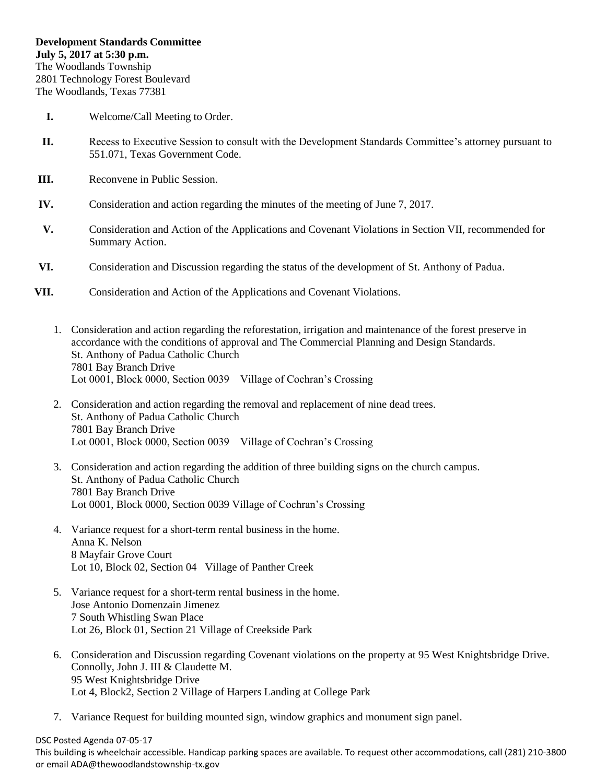- **I.** Welcome/Call Meeting to Order.
- **II.** Recess to Executive Session to consult with the Development Standards Committee's attorney pursuant to 551.071, Texas Government Code.
- **III.** Reconvene in Public Session.
- **IV.** Consideration and action regarding the minutes of the meeting of June 7, 2017.
- **V.** Consideration and Action of the Applications and Covenant Violations in Section VII, recommended for Summary Action.
- **VI.** Consideration and Discussion regarding the status of the development of St. Anthony of Padua.
- **VII.** Consideration and Action of the Applications and Covenant Violations.
	- 1. Consideration and action regarding the reforestation, irrigation and maintenance of the forest preserve in accordance with the conditions of approval and The Commercial Planning and Design Standards. St. Anthony of Padua Catholic Church 7801 Bay Branch Drive Lot 0001, Block 0000, Section 0039 Village of Cochran's Crossing
	- 2. Consideration and action regarding the removal and replacement of nine dead trees. St. Anthony of Padua Catholic Church 7801 Bay Branch Drive Lot 0001, Block 0000, Section 0039 Village of Cochran's Crossing
	- 3. Consideration and action regarding the addition of three building signs on the church campus. St. Anthony of Padua Catholic Church 7801 Bay Branch Drive Lot 0001, Block 0000, Section 0039 Village of Cochran's Crossing
	- 4. Variance request for a short-term rental business in the home. Anna K. Nelson 8 Mayfair Grove Court Lot 10, Block 02, Section 04 Village of Panther Creek
	- 5. Variance request for a short-term rental business in the home. Jose Antonio Domenzain Jimenez 7 South Whistling Swan Place Lot 26, Block 01, Section 21 Village of Creekside Park
	- 6. Consideration and Discussion regarding Covenant violations on the property at 95 West Knightsbridge Drive. Connolly, John J. III & Claudette M. 95 West Knightsbridge Drive Lot 4, Block2, Section 2 Village of Harpers Landing at College Park
	- 7. Variance Request for building mounted sign, window graphics and monument sign panel.

## DSC Posted Agenda 07-05-17

This building is wheelchair accessible. Handicap parking spaces are available. To request other accommodations, call (281) 210-3800 or email ADA@thewoodlandstownship-tx.gov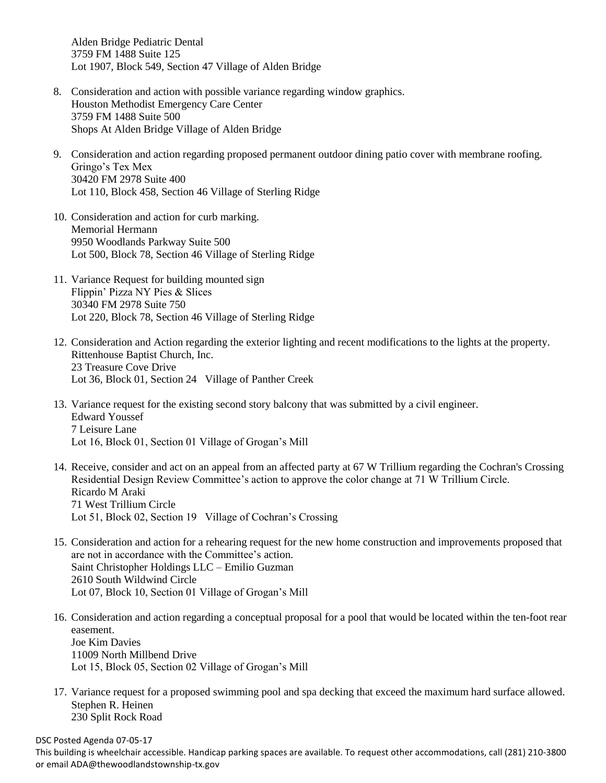Alden Bridge Pediatric Dental 3759 FM 1488 Suite 125 Lot 1907, Block 549, Section 47 Village of Alden Bridge

- 8. Consideration and action with possible variance regarding window graphics. Houston Methodist Emergency Care Center 3759 FM 1488 Suite 500 Shops At Alden Bridge Village of Alden Bridge
- 9. Consideration and action regarding proposed permanent outdoor dining patio cover with membrane roofing. Gringo's Tex Mex 30420 FM 2978 Suite 400 Lot 110, Block 458, Section 46 Village of Sterling Ridge
- 10. Consideration and action for curb marking. Memorial Hermann 9950 Woodlands Parkway Suite 500 Lot 500, Block 78, Section 46 Village of Sterling Ridge
- 11. Variance Request for building mounted sign Flippin' Pizza NY Pies & Slices 30340 FM 2978 Suite 750 Lot 220, Block 78, Section 46 Village of Sterling Ridge
- 12. Consideration and Action regarding the exterior lighting and recent modifications to the lights at the property. Rittenhouse Baptist Church, Inc. 23 Treasure Cove Drive Lot 36, Block 01, Section 24 Village of Panther Creek
- 13. Variance request for the existing second story balcony that was submitted by a civil engineer. Edward Youssef 7 Leisure Lane Lot 16, Block 01, Section 01 Village of Grogan's Mill
- 14. Receive, consider and act on an appeal from an affected party at 67 W Trillium regarding the Cochran's Crossing Residential Design Review Committee's action to approve the color change at 71 W Trillium Circle. Ricardo M Araki 71 West Trillium Circle Lot 51, Block 02, Section 19 Village of Cochran's Crossing
- 15. Consideration and action for a rehearing request for the new home construction and improvements proposed that are not in accordance with the Committee's action. Saint Christopher Holdings LLC – Emilio Guzman 2610 South Wildwind Circle Lot 07, Block 10, Section 01 Village of Grogan's Mill
- 16. Consideration and action regarding a conceptual proposal for a pool that would be located within the ten-foot rear easement. Joe Kim Davies 11009 North Millbend Drive Lot 15, Block 05, Section 02 Village of Grogan's Mill
- 17. Variance request for a proposed swimming pool and spa decking that exceed the maximum hard surface allowed. Stephen R. Heinen 230 Split Rock Road

DSC Posted Agenda 07-05-17

This building is wheelchair accessible. Handicap parking spaces are available. To request other accommodations, call (281) 210-3800 or email ADA@thewoodlandstownship-tx.gov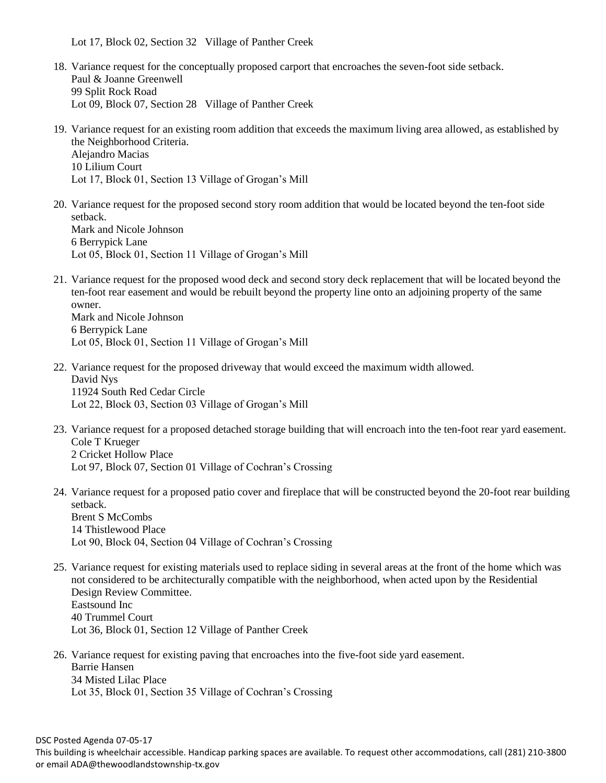Lot 17, Block 02, Section 32 Village of Panther Creek

- 18. Variance request for the conceptually proposed carport that encroaches the seven-foot side setback. Paul & Joanne Greenwell 99 Split Rock Road Lot 09, Block 07, Section 28 Village of Panther Creek
- 19. Variance request for an existing room addition that exceeds the maximum living area allowed, as established by the Neighborhood Criteria. Alejandro Macias 10 Lilium Court Lot 17, Block 01, Section 13 Village of Grogan's Mill
- 20. Variance request for the proposed second story room addition that would be located beyond the ten-foot side setback. Mark and Nicole Johnson 6 Berrypick Lane Lot 05, Block 01, Section 11 Village of Grogan's Mill
- 21. Variance request for the proposed wood deck and second story deck replacement that will be located beyond the ten-foot rear easement and would be rebuilt beyond the property line onto an adjoining property of the same owner. Mark and Nicole Johnson 6 Berrypick Lane Lot 05, Block 01, Section 11 Village of Grogan's Mill
- 22. Variance request for the proposed driveway that would exceed the maximum width allowed. David Nys 11924 South Red Cedar Circle Lot 22, Block 03, Section 03 Village of Grogan's Mill
- 23. Variance request for a proposed detached storage building that will encroach into the ten-foot rear yard easement. Cole T Krueger 2 Cricket Hollow Place Lot 97, Block 07, Section 01 Village of Cochran's Crossing
- 24. Variance request for a proposed patio cover and fireplace that will be constructed beyond the 20-foot rear building setback. Brent S McCombs 14 Thistlewood Place Lot 90, Block 04, Section 04 Village of Cochran's Crossing
- 25. Variance request for existing materials used to replace siding in several areas at the front of the home which was not considered to be architecturally compatible with the neighborhood, when acted upon by the Residential Design Review Committee. Eastsound Inc 40 Trummel Court Lot 36, Block 01, Section 12 Village of Panther Creek
- 26. Variance request for existing paving that encroaches into the five-foot side yard easement. Barrie Hansen 34 Misted Lilac Place Lot 35, Block 01, Section 35 Village of Cochran's Crossing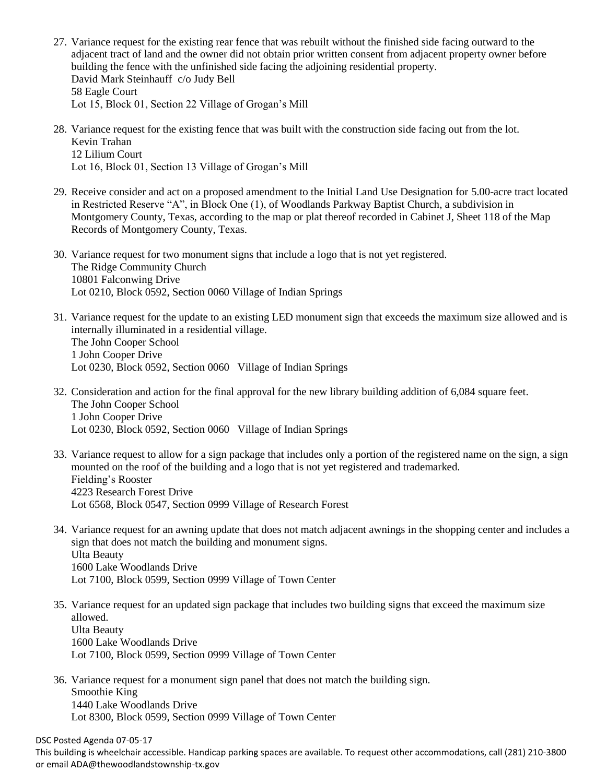- 27. Variance request for the existing rear fence that was rebuilt without the finished side facing outward to the adjacent tract of land and the owner did not obtain prior written consent from adjacent property owner before building the fence with the unfinished side facing the adjoining residential property. David Mark Steinhauff c/o Judy Bell 58 Eagle Court Lot 15, Block 01, Section 22 Village of Grogan's Mill
- 28. Variance request for the existing fence that was built with the construction side facing out from the lot. Kevin Trahan 12 Lilium Court Lot 16, Block 01, Section 13 Village of Grogan's Mill
- 29. Receive consider and act on a proposed amendment to the Initial Land Use Designation for 5.00-acre tract located in Restricted Reserve "A", in Block One (1), of Woodlands Parkway Baptist Church, a subdivision in Montgomery County, Texas, according to the map or plat thereof recorded in Cabinet J, Sheet 118 of the Map Records of Montgomery County, Texas.
- 30. Variance request for two monument signs that include a logo that is not yet registered. The Ridge Community Church 10801 Falconwing Drive Lot 0210, Block 0592, Section 0060 Village of Indian Springs
- 31. Variance request for the update to an existing LED monument sign that exceeds the maximum size allowed and is internally illuminated in a residential village. The John Cooper School 1 John Cooper Drive Lot 0230, Block 0592, Section 0060 Village of Indian Springs
- 32. Consideration and action for the final approval for the new library building addition of 6,084 square feet. The John Cooper School 1 John Cooper Drive Lot 0230, Block 0592, Section 0060 Village of Indian Springs
- 33. Variance request to allow for a sign package that includes only a portion of the registered name on the sign, a sign mounted on the roof of the building and a logo that is not yet registered and trademarked. Fielding's Rooster 4223 Research Forest Drive Lot 6568, Block 0547, Section 0999 Village of Research Forest
- 34. Variance request for an awning update that does not match adjacent awnings in the shopping center and includes a sign that does not match the building and monument signs. Ulta Beauty 1600 Lake Woodlands Drive Lot 7100, Block 0599, Section 0999 Village of Town Center
- 35. Variance request for an updated sign package that includes two building signs that exceed the maximum size allowed. Ulta Beauty 1600 Lake Woodlands Drive Lot 7100, Block 0599, Section 0999 Village of Town Center
- 36. Variance request for a monument sign panel that does not match the building sign. Smoothie King 1440 Lake Woodlands Drive Lot 8300, Block 0599, Section 0999 Village of Town Center

DSC Posted Agenda 07-05-17

This building is wheelchair accessible. Handicap parking spaces are available. To request other accommodations, call (281) 210-3800 or email ADA@thewoodlandstownship-tx.gov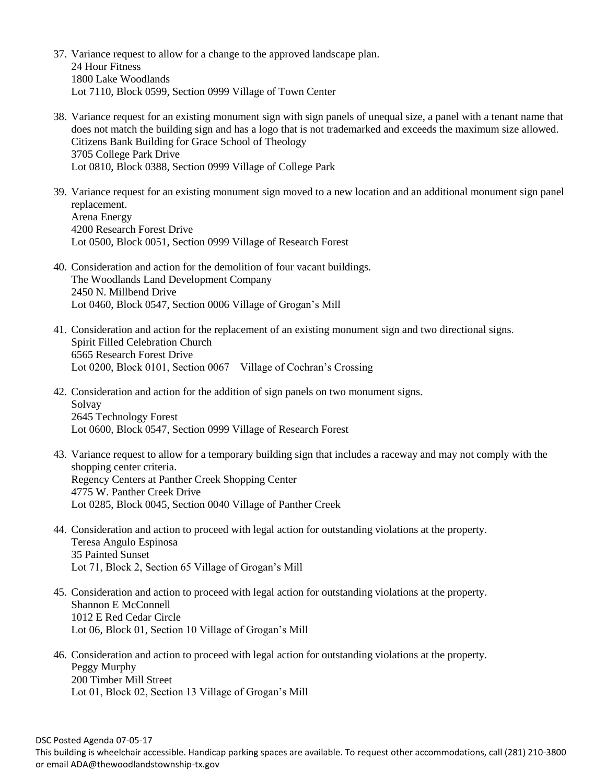- 37. Variance request to allow for a change to the approved landscape plan. 24 Hour Fitness 1800 Lake Woodlands Lot 7110, Block 0599, Section 0999 Village of Town Center
- 38. Variance request for an existing monument sign with sign panels of unequal size, a panel with a tenant name that does not match the building sign and has a logo that is not trademarked and exceeds the maximum size allowed. Citizens Bank Building for Grace School of Theology 3705 College Park Drive Lot 0810, Block 0388, Section 0999 Village of College Park
- 39. Variance request for an existing monument sign moved to a new location and an additional monument sign panel replacement. Arena Energy 4200 Research Forest Drive Lot 0500, Block 0051, Section 0999 Village of Research Forest
- 40. Consideration and action for the demolition of four vacant buildings. The Woodlands Land Development Company 2450 N. Millbend Drive Lot 0460, Block 0547, Section 0006 Village of Grogan's Mill
- 41. Consideration and action for the replacement of an existing monument sign and two directional signs. Spirit Filled Celebration Church 6565 Research Forest Drive Lot 0200, Block 0101, Section 0067 Village of Cochran's Crossing
- 42. Consideration and action for the addition of sign panels on two monument signs. Solvay 2645 Technology Forest Lot 0600, Block 0547, Section 0999 Village of Research Forest
- 43. Variance request to allow for a temporary building sign that includes a raceway and may not comply with the shopping center criteria. Regency Centers at Panther Creek Shopping Center 4775 W. Panther Creek Drive Lot 0285, Block 0045, Section 0040 Village of Panther Creek
- 44. Consideration and action to proceed with legal action for outstanding violations at the property. Teresa Angulo Espinosa 35 Painted Sunset Lot 71, Block 2, Section 65 Village of Grogan's Mill
- 45. Consideration and action to proceed with legal action for outstanding violations at the property. Shannon E McConnell 1012 E Red Cedar Circle Lot 06, Block 01, Section 10 Village of Grogan's Mill
- 46. Consideration and action to proceed with legal action for outstanding violations at the property. Peggy Murphy 200 Timber Mill Street Lot 01, Block 02, Section 13 Village of Grogan's Mill